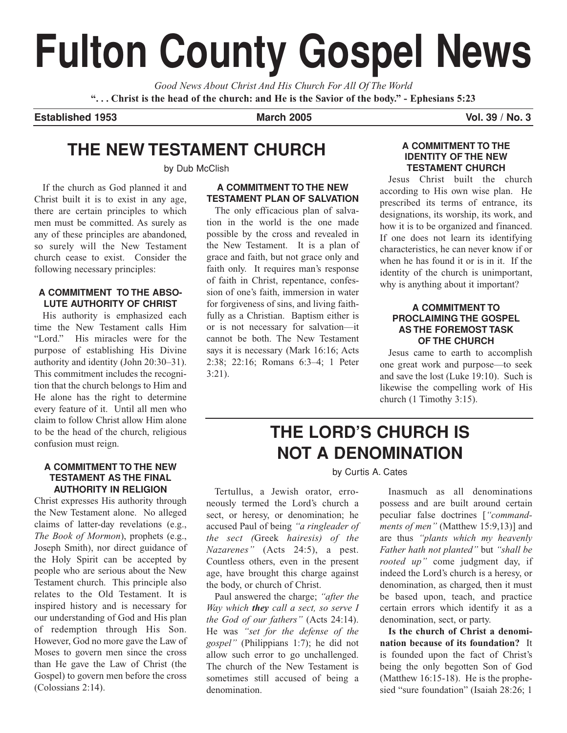# **Fulton County Gospel News**

*Good News About Christ And His Church For All Of The World* **". . . Christ is the head of the church: and He is the Savior of the body." - Ephesians 5:23**

**Established 1953 March 2005 Vol. 39 / No. 3**

# **THE NEW TESTAMENT CHURCH**

by Dub McClish

If the church as God planned it and Christ built it is to exist in any age, there are certain principles to which men must be committed. As surely as any of these principles are abandoned, so surely will the New Testament church cease to exist. Consider the following necessary principles:

### **A COMMITMENT TO THE ABSO-LUTE AUTHORITY OF CHRIST**

His authority is emphasized each time the New Testament calls Him "Lord." His miracles were for the purpose of establishing His Divine authority and identity (John 20:30–31). This commitment includes the recognition that the church belongs to Him and He alone has the right to determine every feature of it. Until all men who claim to follow Christ allow Him alone to be the head of the church, religious confusion must reign.

### **A COMMITMENT TO THE NEW TESTAMENT AS THE FINAL AUTHORITY IN RELIGION**

Christ expresses His authority through the New Testament alone. No alleged claims of latter-day revelations (e.g., *The Book of Mormon*), prophets (e.g., Joseph Smith), nor direct guidance of the Holy Spirit can be accepted by people who are serious about the New Testament church. This principle also relates to the Old Testament. It is inspired history and is necessary for our understanding of God and His plan of redemption through His Son. However, God no more gave the Law of Moses to govern men since the cross than He gave the Law of Christ (the Gospel) to govern men before the cross (Colossians 2:14).

### **A COMMITMENT TO THE NEW TESTAMENT PLAN OF SALVATION**

The only efficacious plan of salvation in the world is the one made possible by the cross and revealed in the New Testament. It is a plan of grace and faith, but not grace only and faith only. It requires man's response of faith in Christ, repentance, confession of one's faith, immersion in water for forgiveness of sins, and living faithfully as a Christian. Baptism either is or is not necessary for salvation—it cannot be both. The New Testament says it is necessary (Mark 16:16; Acts 2:38; 22:16; Romans 6:3–4; 1 Peter 3:21).

### **A COMMITMENT TO THE IDENTITY OF THE NEW TESTAMENT CHURCH**

Jesus Christ built the church according to His own wise plan. He prescribed its terms of entrance, its designations, its worship, its work, and how it is to be organized and financed. If one does not learn its identifying characteristics, he can never know if or when he has found it or is in it. If the identity of the church is unimportant, why is anything about it important?

### **A COMMITMENT TO PROCLAIMING THE GOSPEL AS THE FOREMOST TASK OF THE CHURCH**

Jesus came to earth to accomplish one great work and purpose—to seek and save the lost (Luke 19:10). Such is likewise the compelling work of His church (1 Timothy 3:15).

# **THE LORD'S CHURCH IS NOT A DENOMINATION**

by Curtis A. Cates

Tertullus, a Jewish orator, erroneously termed the Lord's church a sect, or heresy, or denomination; he accused Paul of being *"a ringleader of the sect (*Greek *hairesis) of the Nazarenes"* (Acts 24:5), a pest. Countless others, even in the present age, have brought this charge against the body, or church of Christ.

Paul answered the charge; *"after the Way which they call a sect, so serve I the God of our fathers"* (Acts 24:14). He was *"set for the defense of the gospel"* (Philippians 1:7); he did not allow such error to go unchallenged. The church of the New Testament is sometimes still accused of being a denomination.

Inasmuch as all denominations possess and are built around certain peculiar false doctrines [*"commandments of men"* (Matthew 15:9,13)] and are thus *"plants which my heavenly Father hath not planted"* but *"shall be rooted up"* come judgment day, if indeed the Lord's church is a heresy, or denomination, as charged, then it must be based upon, teach, and practice certain errors which identify it as a denomination, sect, or party.

**Is the church of Christ a denomination because of its foundation?** It is founded upon the fact of Christ's being the only begotten Son of God (Matthew 16:15-18). He is the prophesied "sure foundation" (Isaiah 28:26; 1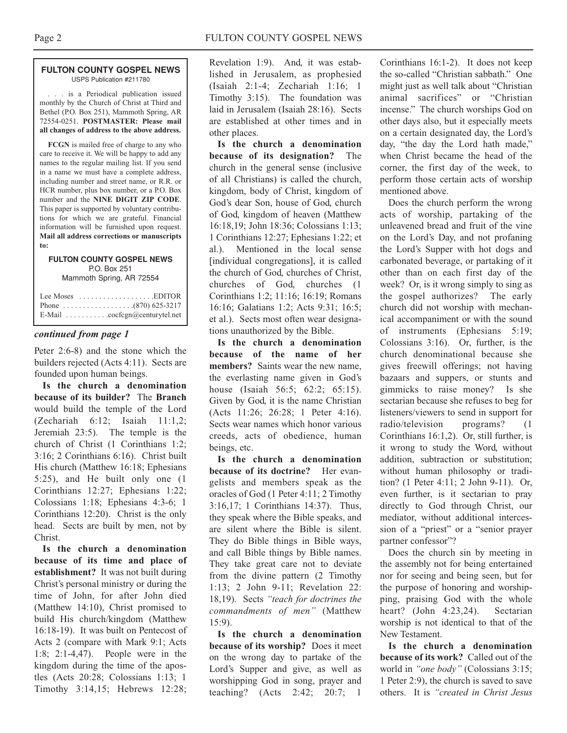#### **FULTON COUNTY GOSPEL NEWS** USPS Publication #211780

. . . is a Periodical publication issued monthly by the Church of Christ at Third and Bethel (P.O. Box 251), Mammoth Spring, AR 72554-0251. **POSTMASTER: Please mail all changes of address to the above address.**

**FCGN** is mailed free of charge to any who care to receive it. We will be happy to add any names to the regular mailing list. If you send in a name we must have a complete address, including number and street name, or R.R. or HCR number, plus box number, or a P.O. Box number and the **NINE DIGIT ZIP CODE**. This paper is supported by voluntary contributions for which we are grateful. Financial information will be furnished upon request. **Mail all address corrections or manuscripts to:**

#### **FULTON COUNTY GOSPEL NEWS** P.O. Box 251 Mammoth Spring, AR 72554

| Lee Moses $\dots\dots\dots\dots\dots\dots$ . EDITOR         |
|-------------------------------------------------------------|
|                                                             |
| E-Mail $\ldots \ldots \ldots \ldots$ cocfcgn@centurytel.net |

### *continued from page 1*

Peter 2:6-8) and the stone which the builders rejected (Acts 4:11). Sects are founded upon human beings.

**Is the church a denomination because of its builder?** The **Branch** would build the temple of the Lord (Zechariah 6:12; Isaiah 11:1,2; Jeremiah 23:5). The temple is the church of Christ (1 Corinthians 1:2; 3:16; 2 Corinthians 6:16). Christ built His church (Matthew 16:18; Ephesians 5:25), and He built only one (1 Corinthians 12:27; Ephesians 1:22; Colossians 1:18; Ephesians 4:3-6; 1 Corinthians 12:20). Christ is the only head. Sects are built by men, not by Christ.

**Is the church a denomination because of its time and place of establishment?** It was not built during Christ's personal ministry or during the time of John, for after John died (Matthew 14:10), Christ promised to build His church/kingdom (Matthew 16:18-19). It was built on Pentecost of Acts 2 (compare with Mark 9:1; Acts 1:8; 2:1-4,47). People were in the kingdom during the time of the apostles (Acts 20:28; Colossians 1:13; 1 Timothy 3:14,15; Hebrews 12:28;

Revelation 1:9). And, it was established in Jerusalem, as prophesied (Isaiah 2:1-4; Zechariah 1:16; 1 Timothy 3:15). The foundation was laid in Jerusalem (Isaiah 28:16). Sects are established at other times and in other places.

**Is the church a denomination because of its designation?** The church in the general sense (inclusive of all Christians) is called the church, kingdom, body of Christ, kingdom of God's dear Son, house of God, church of God, kingdom of heaven (Matthew 16:18,19; John 18:36; Colossians 1:13; 1 Corinthians 12:27; Ephesians 1:22; et al.). Mentioned in the local sense [individual congregations], it is called the church of God, churches of Christ, churches of God, churches (1 Corinthians 1:2; 11:16; 16:19; Romans 16:16; Galatians 1:2; Acts 9:31; 16:5; et al.). Sects most often wear designations unauthorized by the Bible.

**Is the church a denomination because of the name of her members?** Saints wear the new name, the everlasting name given in God's house (Isaiah 56:5; 62:2; 65:15). Given by God, it is the name Christian (Acts 11:26; 26:28; 1 Peter 4:16). Sects wear names which honor various creeds, acts of obedience, human beings, etc.

**Is the church a denomination because of its doctrine?** Her evangelists and members speak as the oracles of God (1 Peter 4:11; 2 Timothy 3:16,17; 1 Corinthians 14:37). Thus, they speak where the Bible speaks, and are silent where the Bible is silent. They do Bible things in Bible ways, and call Bible things by Bible names. They take great care not to deviate from the divine pattern (2 Timothy 1:13; 2 John 9-11; Revelation 22: 18,19). Sects *"teach for doctrines the commandments of men"* (Matthew 15:9).

**Is the church a denomination because of its worship?** Does it meet on the wrong day to partake of the Lord's Supper and give, as well as worshipping God in song, prayer and teaching? (Acts 2:42; 20:7; 1 Corinthians 16:1-2). It does not keep the so-called "Christian sabbath." One might just as well talk about "Christian animal sacrifices" or "Christian incense." The church worships God on other days also, but it especially meets on a certain designated day, the Lord's day, "the day the Lord hath made," when Christ became the head of the corner, the first day of the week, to perform those certain acts of worship mentioned above.

Does the church perform the wrong acts of worship, partaking of the unleavened bread and fruit of the vine on the Lord's Day, and not profaning the Lord's Supper with hot dogs and carbonated beverage, or partaking of it other than on each first day of the week? Or, is it wrong simply to sing as the gospel authorizes? The early church did not worship with mechanical accompaniment or with the sound of instruments (Ephesians 5:19; Colossians 3:16). Or, further, is the church denominational because she gives freewill offerings; not having bazaars and suppers, or stunts and gimmicks to raise money? Is she sectarian because she refuses to beg for listeners/viewers to send in support for radio/television programs? (1 Corinthians 16:1,2). Or, still further, is it wrong to study the Word, without addition, subtraction or substitution; without human philosophy or tradition? (1 Peter 4:11; 2 John 9-11). Or, even further, is it sectarian to pray directly to God through Christ, our mediator, without additional intercession of a "priest" or a "senior prayer partner confessor"?

Does the church sin by meeting in the assembly not for being entertained nor for seeing and being seen, but for the purpose of honoring and worshipping, praising God with the whole heart? (John 4:23,24). Sectarian worship is not identical to that of the New Testament.

**Is the church a denomination because of its work?** Called out of the world in *"one body"* (Colossians 3:15; 1 Peter 2:9), the church is saved to save others. It is *"created in Christ Jesus*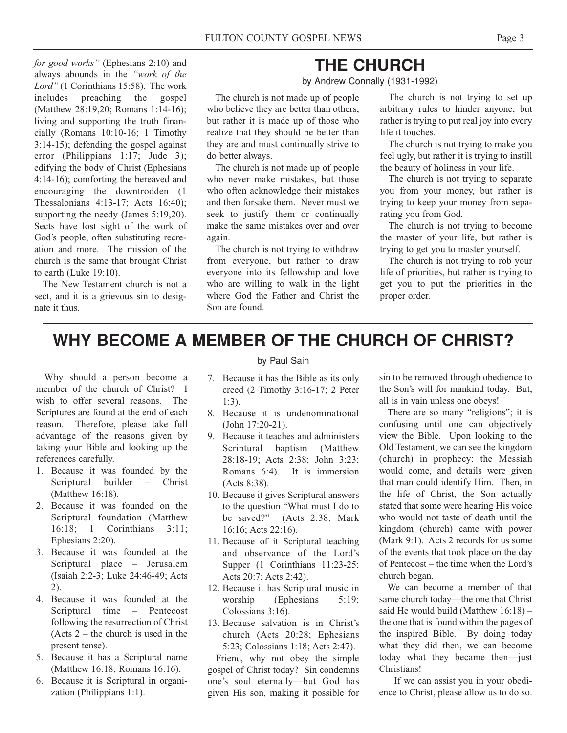*for good works"* (Ephesians 2:10) and always abounds in the *"work of the Lord"* (1 Corinthians 15:58). The work includes preaching the gospel (Matthew 28:19,20; Romans 1:14-16); living and supporting the truth financially (Romans 10:10-16; 1 Timothy 3:14-15); defending the gospel against error (Philippians 1:17; Jude 3); edifying the body of Christ (Ephesians 4:14-16); comforting the bereaved and encouraging the downtrodden (1 Thessalonians 4:13-17; Acts 16:40); supporting the needy (James 5:19,20). Sects have lost sight of the work of God's people, often substituting recreation and more. The mission of the church is the same that brought Christ to earth (Luke 19:10).

The New Testament church is not a sect, and it is a grievous sin to designate it thus.

## **THE CHURCH**

by Andrew Connally (1931-1992)

The church is not made up of people who believe they are better than others, but rather it is made up of those who realize that they should be better than they are and must continually strive to do better always.

The church is not made up of people who never make mistakes, but those who often acknowledge their mistakes and then forsake them. Never must we seek to justify them or continually make the same mistakes over and over again.

The church is not trying to withdraw from everyone, but rather to draw everyone into its fellowship and love who are willing to walk in the light where God the Father and Christ the Son are found.

The church is not trying to set up arbitrary rules to hinder anyone, but rather is trying to put real joy into every life it touches.

The church is not trying to make you feel ugly, but rather it is trying to instill the beauty of holiness in your life.

The church is not trying to separate you from your money, but rather is trying to keep your money from separating you from God.

The church is not trying to become the master of your life, but rather is trying to get you to master yourself.

The church is not trying to rob your life of priorities, but rather is trying to get you to put the priorities in the proper order.

# **WHY BECOME A MEMBER OF THE CHURCH OF CHRIST?**

Why should a person become a member of the church of Christ? I wish to offer several reasons. The Scriptures are found at the end of each reason. Therefore, please take full advantage of the reasons given by taking your Bible and looking up the references carefully.

- 1. Because it was founded by the Scriptural builder – Christ (Matthew 16:18).
- 2. Because it was founded on the Scriptural foundation (Matthew 16:18; 1 Corinthians 3:11; Ephesians 2:20).
- 3. Because it was founded at the Scriptural place – Jerusalem (Isaiah 2:2-3; Luke 24:46-49; Acts 2).
- 4. Because it was founded at the Scriptural time – Pentecost following the resurrection of Christ  $(Acts 2 - the church is used in the)$ present tense).
- 5. Because it has a Scriptural name (Matthew 16:18; Romans 16:16).
- 6. Because it is Scriptural in organization (Philippians 1:1).

### by Paul Sain

- 7. Because it has the Bible as its only creed (2 Timothy 3:16-17; 2 Peter 1:3).
- 8. Because it is undenominational (John 17:20-21).
- 9. Because it teaches and administers Scriptural baptism (Matthew 28:18-19; Acts 2:38; John 3:23; Romans 6:4). It is immersion (Acts 8:38).
- 10. Because it gives Scriptural answers to the question "What must I do to be saved?" (Acts 2:38; Mark 16:16; Acts 22:16).
- 11. Because of it Scriptural teaching and observance of the Lord's Supper (1 Corinthians 11:23-25; Acts 20:7; Acts 2:42).
- 12. Because it has Scriptural music in worship (Ephesians 5:19; Colossians 3:16).
- 13. Because salvation is in Christ's church (Acts 20:28; Ephesians 5:23; Colossians 1:18; Acts 2:47).

Friend, why not obey the simple gospel of Christ today? Sin condemns one's soul eternally—but God has given His son, making it possible for

sin to be removed through obedience to the Son's will for mankind today. But, all is in vain unless one obeys!

There are so many "religions"; it is confusing until one can objectively view the Bible. Upon looking to the Old Testament, we can see the kingdom (church) in prophecy: the Messiah would come, and details were given that man could identify Him. Then, in the life of Christ, the Son actually stated that some were hearing His voice who would not taste of death until the kingdom (church) came with power (Mark 9:1). Acts 2 records for us some of the events that took place on the day of Pentecost – the time when the Lord's church began.

We can become a member of that same church today—the one that Christ said He would build (Matthew 16:18) – the one that is found within the pages of the inspired Bible. By doing today what they did then, we can become today what they became then—just Christians!

If we can assist you in your obedience to Christ, please allow us to do so.